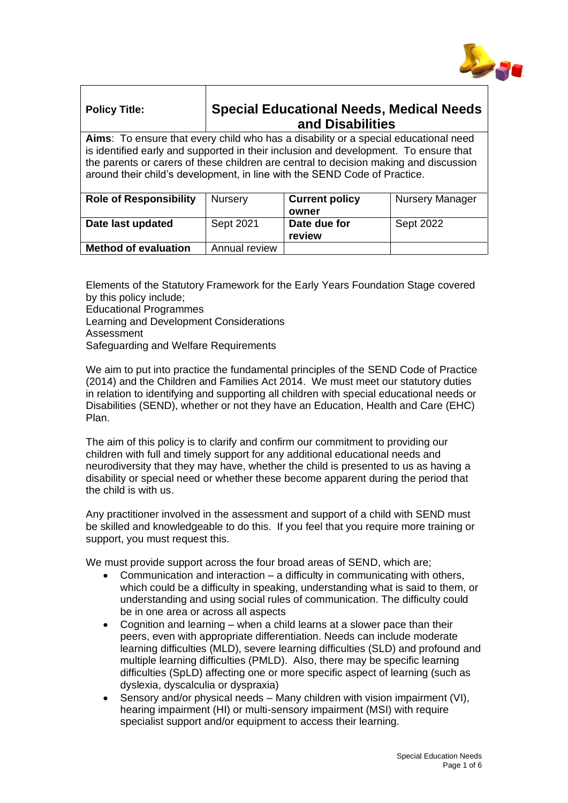

# **Policy Title: Special Educational Needs, Medical Needs and Disabilities**

**Aims**: To ensure that every child who has a disability or a special educational need is identified early and supported in their inclusion and development. To ensure that the parents or carers of these children are central to decision making and discussion around their child's development, in line with the SEND Code of Practice.

| <b>Role of Responsibility</b> | <b>Nursery</b> | <b>Current policy</b>  | <b>Nursery Manager</b> |
|-------------------------------|----------------|------------------------|------------------------|
|                               |                | owner                  |                        |
| Date last updated             | Sept 2021      | Date due for<br>review | Sept 2022              |
|                               |                |                        |                        |
| <b>Method of evaluation</b>   | Annual review  |                        |                        |

Elements of the Statutory Framework for the Early Years Foundation Stage covered by this policy include; Educational Programmes Learning and Development Considerations Assessment Safeguarding and Welfare Requirements

We aim to put into practice the fundamental principles of the SEND Code of Practice (2014) and the Children and Families Act 2014. We must meet our statutory duties in relation to identifying and supporting all children with special educational needs or Disabilities (SEND), whether or not they have an Education, Health and Care (EHC) Plan.

The aim of this policy is to clarify and confirm our commitment to providing our children with full and timely support for any additional educational needs and neurodiversity that they may have, whether the child is presented to us as having a disability or special need or whether these become apparent during the period that the child is with us.

Any practitioner involved in the assessment and support of a child with SEND must be skilled and knowledgeable to do this. If you feel that you require more training or support, you must request this.

We must provide support across the four broad areas of SEND, which are;

- Communication and interaction a difficulty in communicating with others, which could be a difficulty in speaking, understanding what is said to them, or understanding and using social rules of communication. The difficulty could be in one area or across all aspects
- Cognition and learning when a child learns at a slower pace than their peers, even with appropriate differentiation. Needs can include moderate learning difficulties (MLD), severe learning difficulties (SLD) and profound and multiple learning difficulties (PMLD). Also, there may be specific learning difficulties (SpLD) affecting one or more specific aspect of learning (such as dyslexia, dyscalculia or dyspraxia)
- Sensory and/or physical needs Many children with vision impairment (VI), hearing impairment (HI) or multi-sensory impairment (MSI) with require specialist support and/or equipment to access their learning.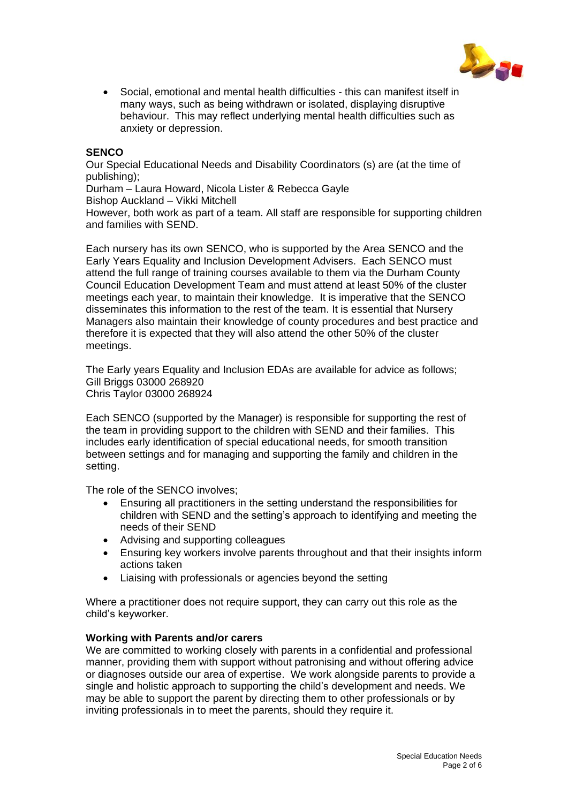

• Social, emotional and mental health difficulties - this can manifest itself in many ways, such as being withdrawn or isolated, displaying disruptive behaviour. This may reflect underlying mental health difficulties such as anxiety or depression.

## **SENCO**

Our Special Educational Needs and Disability Coordinators (s) are (at the time of publishing);

Durham – Laura Howard, Nicola Lister & Rebecca Gayle

Bishop Auckland – Vikki Mitchell

However, both work as part of a team. All staff are responsible for supporting children and families with SEND.

Each nursery has its own SENCO, who is supported by the Area SENCO and the Early Years Equality and Inclusion Development Advisers. Each SENCO must attend the full range of training courses available to them via the Durham County Council Education Development Team and must attend at least 50% of the cluster meetings each year, to maintain their knowledge. It is imperative that the SENCO disseminates this information to the rest of the team. It is essential that Nursery Managers also maintain their knowledge of county procedures and best practice and therefore it is expected that they will also attend the other 50% of the cluster meetings.

The Early years Equality and Inclusion EDAs are available for advice as follows; Gill Briggs 03000 268920 Chris Taylor 03000 268924

Each SENCO (supported by the Manager) is responsible for supporting the rest of the team in providing support to the children with SEND and their families. This includes early identification of special educational needs, for smooth transition between settings and for managing and supporting the family and children in the setting.

The role of the SENCO involves;

- Ensuring all practitioners in the setting understand the responsibilities for children with SEND and the setting's approach to identifying and meeting the needs of their SEND
- Advising and supporting colleagues
- Ensuring key workers involve parents throughout and that their insights inform actions taken
- Liaising with professionals or agencies beyond the setting

Where a practitioner does not require support, they can carry out this role as the child's keyworker.

## **Working with Parents and/or carers**

We are committed to working closely with parents in a confidential and professional manner, providing them with support without patronising and without offering advice or diagnoses outside our area of expertise. We work alongside parents to provide a single and holistic approach to supporting the child's development and needs. We may be able to support the parent by directing them to other professionals or by inviting professionals in to meet the parents, should they require it.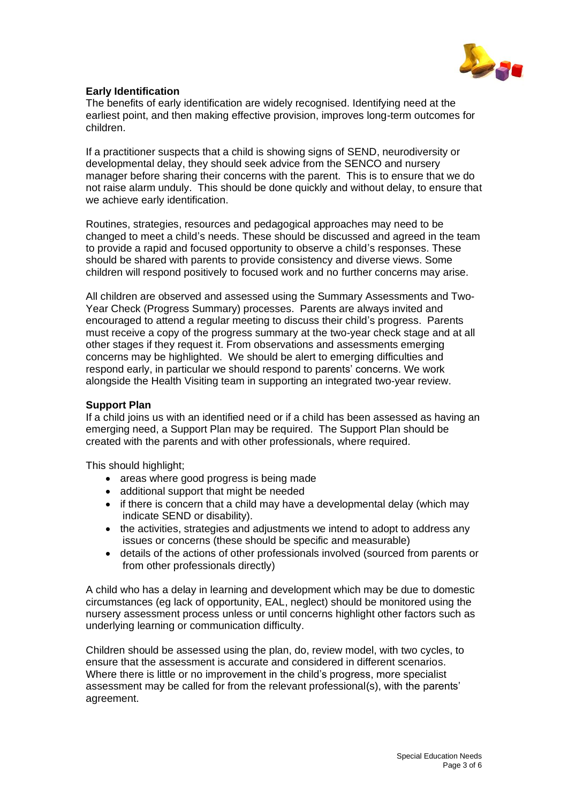

## **Early Identification**

The benefits of early identification are widely recognised. Identifying need at the earliest point, and then making effective provision, improves long-term outcomes for children.

If a practitioner suspects that a child is showing signs of SEND, neurodiversity or developmental delay, they should seek advice from the SENCO and nursery manager before sharing their concerns with the parent. This is to ensure that we do not raise alarm unduly. This should be done quickly and without delay, to ensure that we achieve early identification.

Routines, strategies, resources and pedagogical approaches may need to be changed to meet a child's needs. These should be discussed and agreed in the team to provide a rapid and focused opportunity to observe a child's responses. These should be shared with parents to provide consistency and diverse views. Some children will respond positively to focused work and no further concerns may arise.

All children are observed and assessed using the Summary Assessments and Two-Year Check (Progress Summary) processes. Parents are always invited and encouraged to attend a regular meeting to discuss their child's progress. Parents must receive a copy of the progress summary at the two-year check stage and at all other stages if they request it. From observations and assessments emerging concerns may be highlighted. We should be alert to emerging difficulties and respond early, in particular we should respond to parents' concerns. We work alongside the Health Visiting team in supporting an integrated two-year review.

## **Support Plan**

If a child joins us with an identified need or if a child has been assessed as having an emerging need, a Support Plan may be required. The Support Plan should be created with the parents and with other professionals, where required.

This should highlight;

- areas where good progress is being made
- additional support that might be needed
- if there is concern that a child may have a developmental delay (which may indicate SEND or disability).
- the activities, strategies and adjustments we intend to adopt to address any issues or concerns (these should be specific and measurable)
- details of the actions of other professionals involved (sourced from parents or from other professionals directly)

A child who has a delay in learning and development which may be due to domestic circumstances (eg lack of opportunity, EAL, neglect) should be monitored using the nursery assessment process unless or until concerns highlight other factors such as underlying learning or communication difficulty.

Children should be assessed using the plan, do, review model, with two cycles, to ensure that the assessment is accurate and considered in different scenarios. Where there is little or no improvement in the child's progress, more specialist assessment may be called for from the relevant professional(s), with the parents' agreement.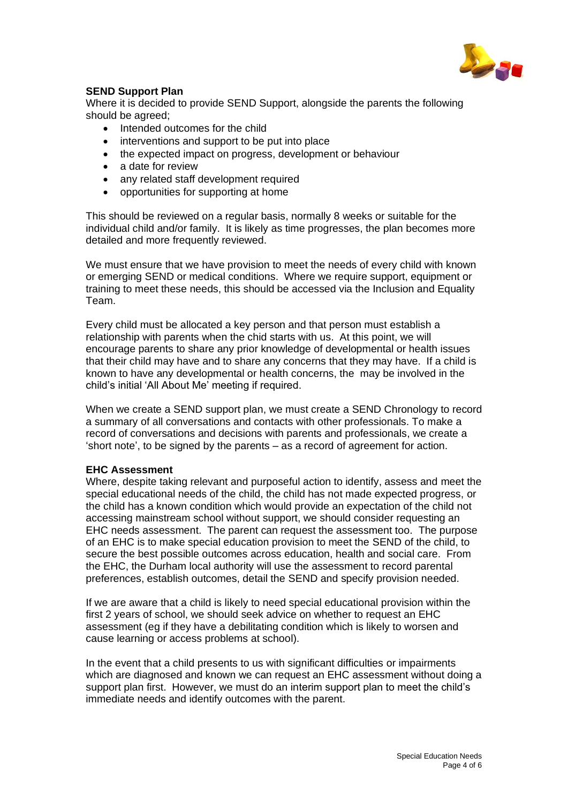

## **SEND Support Plan**

Where it is decided to provide SEND Support, alongside the parents the following should be agreed;

- Intended outcomes for the child
- interventions and support to be put into place
- the expected impact on progress, development or behaviour
- a date for review
- any related staff development required
- opportunities for supporting at home

This should be reviewed on a regular basis, normally 8 weeks or suitable for the individual child and/or family. It is likely as time progresses, the plan becomes more detailed and more frequently reviewed.

We must ensure that we have provision to meet the needs of every child with known or emerging SEND or medical conditions. Where we require support, equipment or training to meet these needs, this should be accessed via the Inclusion and Equality Team.

Every child must be allocated a key person and that person must establish a relationship with parents when the chid starts with us. At this point, we will encourage parents to share any prior knowledge of developmental or health issues that their child may have and to share any concerns that they may have. If a child is known to have any developmental or health concerns, the may be involved in the child's initial 'All About Me' meeting if required.

When we create a SEND support plan, we must create a SEND Chronology to record a summary of all conversations and contacts with other professionals. To make a record of conversations and decisions with parents and professionals, we create a 'short note', to be signed by the parents – as a record of agreement for action.

#### **EHC Assessment**

Where, despite taking relevant and purposeful action to identify, assess and meet the special educational needs of the child, the child has not made expected progress, or the child has a known condition which would provide an expectation of the child not accessing mainstream school without support, we should consider requesting an EHC needs assessment. The parent can request the assessment too. The purpose of an EHC is to make special education provision to meet the SEND of the child, to secure the best possible outcomes across education, health and social care. From the EHC, the Durham local authority will use the assessment to record parental preferences, establish outcomes, detail the SEND and specify provision needed.

If we are aware that a child is likely to need special educational provision within the first 2 years of school, we should seek advice on whether to request an EHC assessment (eg if they have a debilitating condition which is likely to worsen and cause learning or access problems at school).

In the event that a child presents to us with significant difficulties or impairments which are diagnosed and known we can request an EHC assessment without doing a support plan first. However, we must do an interim support plan to meet the child's immediate needs and identify outcomes with the parent.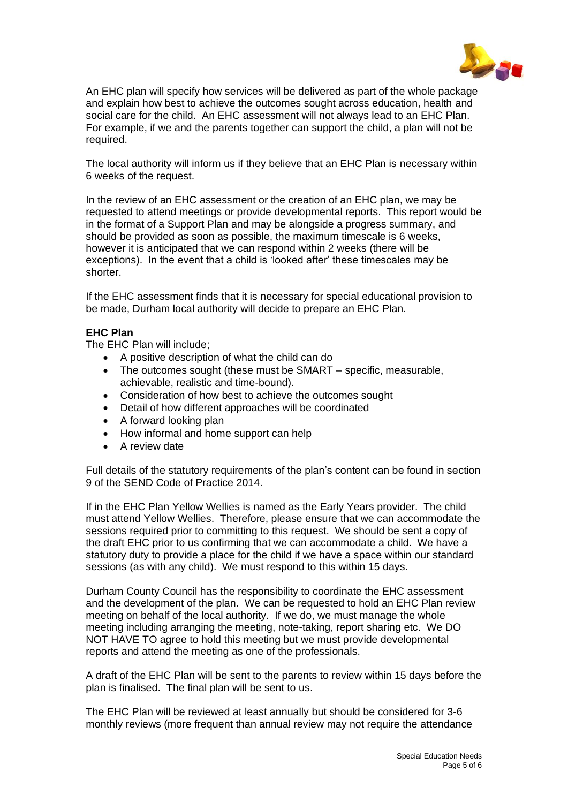

An EHC plan will specify how services will be delivered as part of the whole package and explain how best to achieve the outcomes sought across education, health and social care for the child. An EHC assessment will not always lead to an EHC Plan. For example, if we and the parents together can support the child, a plan will not be required.

The local authority will inform us if they believe that an EHC Plan is necessary within 6 weeks of the request.

In the review of an EHC assessment or the creation of an EHC plan, we may be requested to attend meetings or provide developmental reports. This report would be in the format of a Support Plan and may be alongside a progress summary, and should be provided as soon as possible, the maximum timescale is 6 weeks, however it is anticipated that we can respond within 2 weeks (there will be exceptions). In the event that a child is 'looked after' these timescales may be shorter.

If the EHC assessment finds that it is necessary for special educational provision to be made, Durham local authority will decide to prepare an EHC Plan.

## **EHC Plan**

The EHC Plan will include;

- A positive description of what the child can do
- The outcomes sought (these must be SMART specific, measurable, achievable, realistic and time-bound).
- Consideration of how best to achieve the outcomes sought
- Detail of how different approaches will be coordinated
- A forward looking plan
- How informal and home support can help
- A review date

Full details of the statutory requirements of the plan's content can be found in section 9 of the SEND Code of Practice 2014.

If in the EHC Plan Yellow Wellies is named as the Early Years provider. The child must attend Yellow Wellies. Therefore, please ensure that we can accommodate the sessions required prior to committing to this request. We should be sent a copy of the draft EHC prior to us confirming that we can accommodate a child. We have a statutory duty to provide a place for the child if we have a space within our standard sessions (as with any child). We must respond to this within 15 days.

Durham County Council has the responsibility to coordinate the EHC assessment and the development of the plan. We can be requested to hold an EHC Plan review meeting on behalf of the local authority. If we do, we must manage the whole meeting including arranging the meeting, note-taking, report sharing etc. We DO NOT HAVE TO agree to hold this meeting but we must provide developmental reports and attend the meeting as one of the professionals.

A draft of the EHC Plan will be sent to the parents to review within 15 days before the plan is finalised. The final plan will be sent to us.

The EHC Plan will be reviewed at least annually but should be considered for 3-6 monthly reviews (more frequent than annual review may not require the attendance